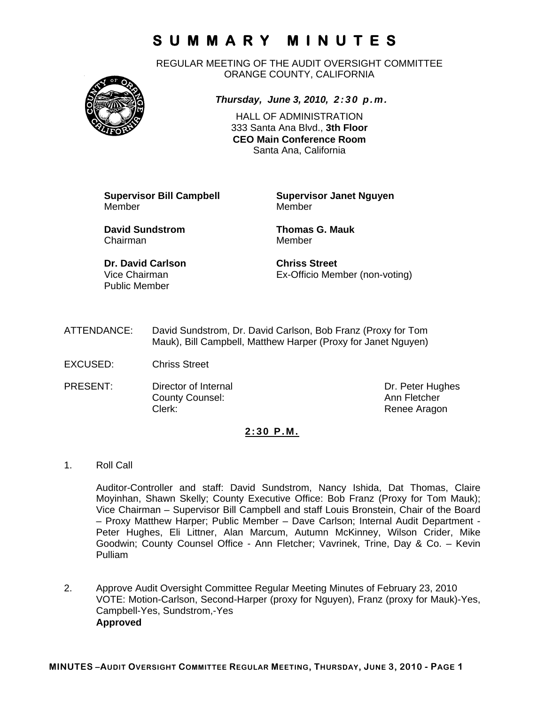REGULAR MEETING OF THE AUDIT OVERSIGHT COMMITTEE ORANGE COUNTY, CALIFORNIA



*Thursday, June 3, 2010, 2:30 p.m.*

HALL OF ADMINISTRATION 333 Santa Ana Blvd., **3th Floor CEO Main Conference Room**  Santa Ana, California

Member Member

**Supervisor Bill Campbell Supervisor Janet Nguyen**

**David Sundstrom Thomas G. Mauk**  Chairman Member

**Dr. David Carlson Chriss Street**  Public Member

Vice Chairman Ex-Officio Member (non-voting)

- ATTENDANCE: David Sundstrom, Dr. David Carlson, Bob Franz (Proxy for Tom Mauk), Bill Campbell, Matthew Harper (Proxy for Janet Nguyen)
- EXCUSED: Chriss Street
- PRESENT: Director of Internal Dr. Peter Hughes **County Counsel:** Counsel: Ann Fletcher Clerk: Clerk: Renee Aragon

#### **2:30 P.M.**

1. Roll Call

Auditor-Controller and staff: David Sundstrom, Nancy Ishida, Dat Thomas, Claire Moyinhan, Shawn Skelly; County Executive Office: Bob Franz (Proxy for Tom Mauk); Vice Chairman – Supervisor Bill Campbell and staff Louis Bronstein, Chair of the Board – Proxy Matthew Harper; Public Member – Dave Carlson; Internal Audit Department - Peter Hughes, Eli Littner, Alan Marcum, Autumn McKinney, Wilson Crider, Mike Goodwin; County Counsel Office - Ann Fletcher; Vavrinek, Trine, Day & Co. – Kevin Pulliam

2. Approve Audit Oversight Committee Regular Meeting Minutes of February 23, 2010 VOTE: Motion-Carlson, Second-Harper (proxy for Nguyen), Franz (proxy for Mauk)-Yes, Campbell-Yes, Sundstrom,-Yes **Approved**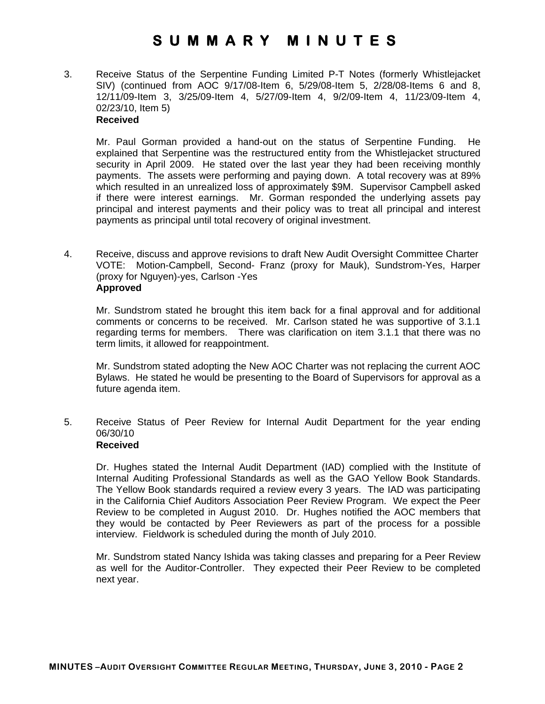3. Receive Status of the Serpentine Funding Limited P-T Notes (formerly Whistlejacket SIV) (continued from AOC 9/17/08-Item 6, 5/29/08-Item 5, 2/28/08-Items 6 and 8, 12/11/09-Item 3, 3/25/09-Item 4, 5/27/09-Item 4, 9/2/09-Item 4, 11/23/09-Item 4, 02/23/10, Item 5) **Received** 

Mr. Paul Gorman provided a hand-out on the status of Serpentine Funding. He explained that Serpentine was the restructured entity from the Whistlejacket structured security in April 2009. He stated over the last year they had been receiving monthly payments. The assets were performing and paying down. A total recovery was at 89% which resulted in an unrealized loss of approximately \$9M. Supervisor Campbell asked if there were interest earnings. Mr. Gorman responded the underlying assets pay principal and interest payments and their policy was to treat all principal and interest payments as principal until total recovery of original investment.

4. Receive, discuss and approve revisions to draft New Audit Oversight Committee Charter VOTE: Motion-Campbell, Second- Franz (proxy for Mauk), Sundstrom-Yes, Harper (proxy for Nguyen)-yes, Carlson -Yes **Approved**

Mr. Sundstrom stated he brought this item back for a final approval and for additional comments or concerns to be received. Mr. Carlson stated he was supportive of 3.1.1 regarding terms for members. There was clarification on item 3.1.1 that there was no term limits, it allowed for reappointment.

Mr. Sundstrom stated adopting the New AOC Charter was not replacing the current AOC Bylaws. He stated he would be presenting to the Board of Supervisors for approval as a future agenda item.

5. Receive Status of Peer Review for Internal Audit Department for the year ending 06/30/10 **Received**

Dr. Hughes stated the Internal Audit Department (IAD) complied with the Institute of Internal Auditing Professional Standards as well as the GAO Yellow Book Standards. The Yellow Book standards required a review every 3 years. The IAD was participating in the California Chief Auditors Association Peer Review Program. We expect the Peer Review to be completed in August 2010. Dr. Hughes notified the AOC members that they would be contacted by Peer Reviewers as part of the process for a possible interview. Fieldwork is scheduled during the month of July 2010.

Mr. Sundstrom stated Nancy Ishida was taking classes and preparing for a Peer Review as well for the Auditor-Controller. They expected their Peer Review to be completed next year.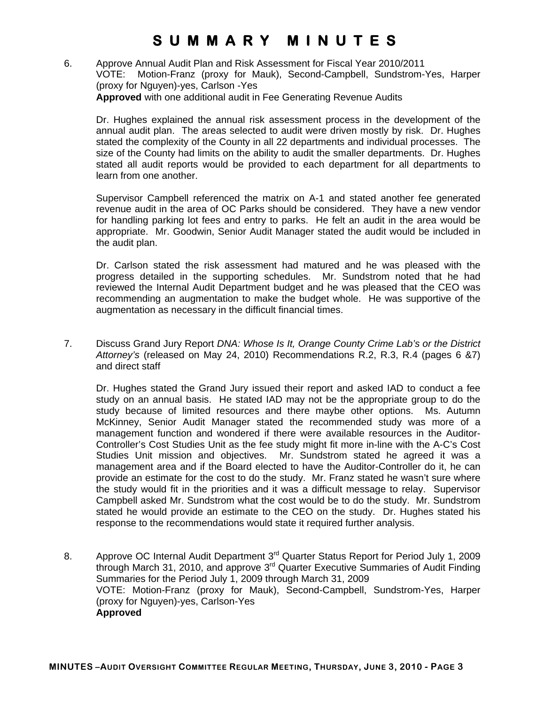6. Approve Annual Audit Plan and Risk Assessment for Fiscal Year 2010/2011 VOTE: Motion-Franz (proxy for Mauk), Second-Campbell, Sundstrom-Yes, Harper (proxy for Nguyen)-yes, Carlson -Yes **Approved** with one additional audit in Fee Generating Revenue Audits

Dr. Hughes explained the annual risk assessment process in the development of the annual audit plan. The areas selected to audit were driven mostly by risk. Dr. Hughes stated the complexity of the County in all 22 departments and individual processes. The size of the County had limits on the ability to audit the smaller departments. Dr. Hughes stated all audit reports would be provided to each department for all departments to learn from one another.

Supervisor Campbell referenced the matrix on A-1 and stated another fee generated revenue audit in the area of OC Parks should be considered. They have a new vendor for handling parking lot fees and entry to parks. He felt an audit in the area would be appropriate. Mr. Goodwin, Senior Audit Manager stated the audit would be included in the audit plan.

Dr. Carlson stated the risk assessment had matured and he was pleased with the progress detailed in the supporting schedules. Mr. Sundstrom noted that he had reviewed the Internal Audit Department budget and he was pleased that the CEO was recommending an augmentation to make the budget whole. He was supportive of the augmentation as necessary in the difficult financial times.

7. Discuss Grand Jury Report *DNA: Whose Is It, Orange County Crime Lab's or the District Attorney's* (released on May 24, 2010) Recommendations R.2, R.3, R.4 (pages 6 &7) and direct staff

Dr. Hughes stated the Grand Jury issued their report and asked IAD to conduct a fee study on an annual basis. He stated IAD may not be the appropriate group to do the study because of limited resources and there maybe other options. Ms. Autumn McKinney, Senior Audit Manager stated the recommended study was more of a management function and wondered if there were available resources in the Auditor-Controller's Cost Studies Unit as the fee study might fit more in-line with the A-C's Cost Studies Unit mission and objectives. Mr. Sundstrom stated he agreed it was a management area and if the Board elected to have the Auditor-Controller do it, he can provide an estimate for the cost to do the study. Mr. Franz stated he wasn't sure where the study would fit in the priorities and it was a difficult message to relay. Supervisor Campbell asked Mr. Sundstrom what the cost would be to do the study. Mr. Sundstrom stated he would provide an estimate to the CEO on the study. Dr. Hughes stated his response to the recommendations would state it required further analysis.

8. Approve OC Internal Audit Department 3<sup>rd</sup> Quarter Status Report for Period July 1, 2009 through March 31, 2010, and approve 3<sup>rd</sup> Quarter Executive Summaries of Audit Finding Summaries for the Period July 1, 2009 through March 31, 2009 VOTE: Motion-Franz (proxy for Mauk), Second-Campbell, Sundstrom-Yes, Harper (proxy for Nguyen)-yes, Carlson-Yes **Approved**